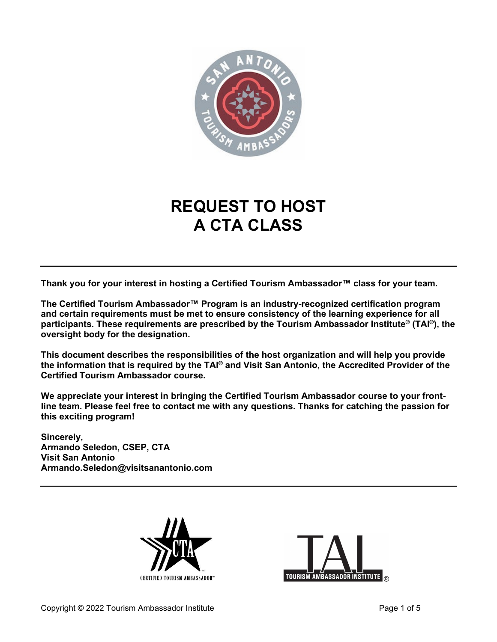

# **REQUEST TO HOST A CTA CLASS**

**Thank you for your interest in hosting a Certified Tourism Ambassador™ class for your team.** 

**The Certified Tourism Ambassador™ Program is an industry-recognized certification program and certain requirements must be met to ensure consistency of the learning experience for all participants. These requirements are prescribed by the Tourism Ambassador Institute® (TAI®), the oversight body for the designation.**

**This document describes the responsibilities of the host organization and will help you provide the information that is required by the TAI® and Visit San Antonio, the Accredited Provider of the Certified Tourism Ambassador course.**

**We appreciate your interest in bringing the Certified Tourism Ambassador course to your frontline team. Please feel free to contact me with any questions. Thanks for catching the passion for this exciting program!**

**Sincerely, Armando Seledon, CSEP, CTA Visit San Antonio Armando.Seledon@visitsanantonio.com**



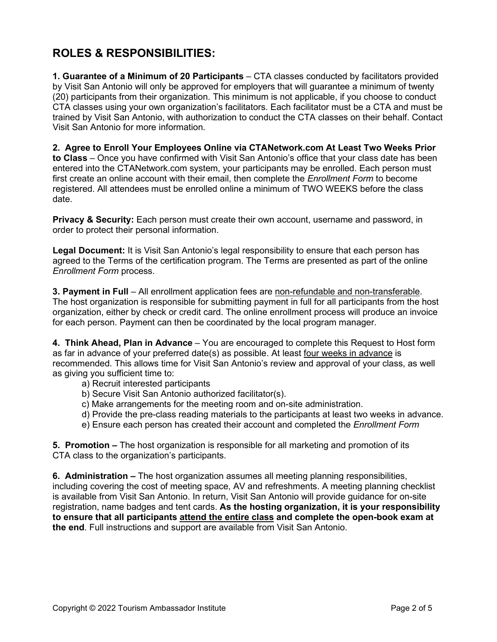### **ROLES & RESPONSIBILITIES:**

**1. Guarantee of a Minimum of 20 Participants** – CTA classes conducted by facilitators provided by Visit San Antonio will only be approved for employers that will guarantee a minimum of twenty (20) participants from their organization. This minimum is not applicable, if you choose to conduct CTA classes using your own organization's facilitators. Each facilitator must be a CTA and must be trained by Visit San Antonio, with authorization to conduct the CTA classes on their behalf. Contact Visit San Antonio for more information.

**2. Agree to Enroll Your Employees Online via CTANetwork.com At Least Two Weeks Prior to Class** – Once you have confirmed with Visit San Antonio's office that your class date has been entered into the CTANetwork.com system, your participants may be enrolled. Each person must first create an online account with their email, then complete the *Enrollment Form* to become registered. All attendees must be enrolled online a minimum of TWO WEEKS before the class date.

**Privacy & Security:** Each person must create their own account, username and password, in order to protect their personal information.

**Legal Document:** It is Visit San Antonio's legal responsibility to ensure that each person has agreed to the Terms of the certification program. The Terms are presented as part of the online *Enrollment Form* process.

**3. Payment in Full** – All enrollment application fees are non-refundable and non-transferable. The host organization is responsible for submitting payment in full for all participants from the host organization, either by check or credit card. The online enrollment process will produce an invoice for each person. Payment can then be coordinated by the local program manager.

**4. Think Ahead, Plan in Advance** – You are encouraged to complete this Request to Host form as far in advance of your preferred date(s) as possible. At least four weeks in advance is recommended. This allows time for Visit San Antonio's review and approval of your class, as well as giving you sufficient time to:

- a) Recruit interested participants
- b) Secure Visit San Antonio authorized facilitator(s).
- c) Make arrangements for the meeting room and on-site administration.
- d) Provide the pre-class reading materials to the participants at least two weeks in advance.
- e) Ensure each person has created their account and completed the *Enrollment Form*

**5. Promotion –** The host organization is responsible for all marketing and promotion of its CTA class to the organization's participants.

**6. Administration –** The host organization assumes all meeting planning responsibilities, including covering the cost of meeting space, AV and refreshments. A meeting planning checklist is available from Visit San Antonio. In return, Visit San Antonio will provide guidance for on-site registration, name badges and tent cards. **As the hosting organization, it is your responsibility to ensure that all participants attend the entire class and complete the open-book exam at the end**. Full instructions and support are available from Visit San Antonio.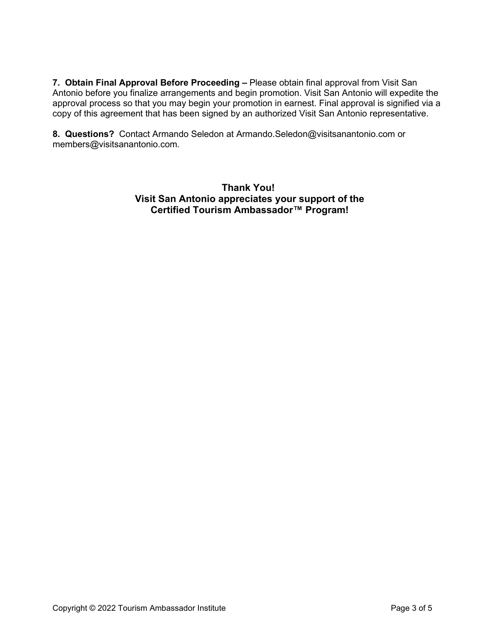**7. Obtain Final Approval Before Proceeding –** Please obtain final approval from Visit San Antonio before you finalize arrangements and begin promotion. Visit San Antonio will expedite the approval process so that you may begin your promotion in earnest. Final approval is signified via a copy of this agreement that has been signed by an authorized Visit San Antonio representative.

**8. Questions?** Contact Armando Seledon at Armando.Seledon@visitsanantonio.com or members@visitsanantonio.com.

> **Thank You! Visit San Antonio appreciates your support of the Certified Tourism Ambassador™ Program!**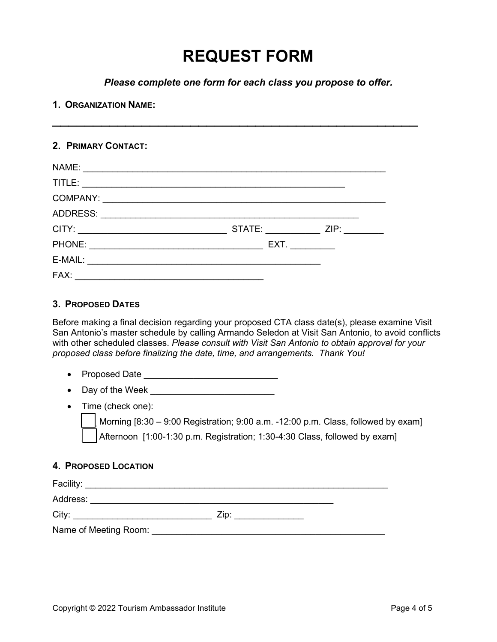# **REQUEST FORM**

*Please complete one form for each class you propose to offer.*

\_\_\_\_\_\_\_\_\_\_\_\_\_\_\_\_\_\_\_\_\_\_\_\_\_\_\_\_\_\_\_\_\_\_\_\_\_\_\_\_\_\_\_\_\_

#### **1. ORGANIZATION NAME:**

#### **2. PRIMARY CONTACT:**

| NAME:                                                                         |                                                                                                                                                                                                                                |      |
|-------------------------------------------------------------------------------|--------------------------------------------------------------------------------------------------------------------------------------------------------------------------------------------------------------------------------|------|
| TITLE:                                                                        |                                                                                                                                                                                                                                |      |
| COMPANY:<br><u> 1989 - John Stein, Amerikaansk politiker (</u> † 1920)        |                                                                                                                                                                                                                                |      |
| ADDRESS:                                                                      |                                                                                                                                                                                                                                |      |
| CITY:                                                                         | STATE: And the state of the state of the state of the state of the state of the state of the state of the state of the state of the state of the state of the state of the state of the state of the state of the state of the | ZIP: |
| PHONE:                                                                        | EXT.                                                                                                                                                                                                                           |      |
| E-MAIL:<br><u> 1980 - Jan Samuel Barbara, margaret eta idazlea (h. 1980).</u> |                                                                                                                                                                                                                                |      |
| FAX:                                                                          |                                                                                                                                                                                                                                |      |

#### **3. PROPOSED DATES**

Before making a final decision regarding your proposed CTA class date(s), please examine Visit San Antonio's master schedule by calling Armando Seledon at Visit San Antonio, to avoid conflicts with other scheduled classes. *Please consult with Visit San Antonio to obtain approval for your proposed class before finalizing the date, time, and arrangements. Thank You!* 

- Proposed Date \_\_\_\_\_\_\_\_\_\_\_\_\_\_\_\_\_\_\_\_\_\_\_\_\_\_\_
- Day of the Week \_\_\_\_\_\_\_\_\_\_\_\_\_\_\_\_\_\_\_\_\_\_\_\_\_
- Time (check one):

Morning  $[8:30 - 9:00$  Registration; 9:00 a.m. -12:00 p.m. Class, followed by exam] Afternoon [1:00-1:30 p.m. Registration; 1:30-4:30 Class, followed by exam]

#### **4. PROPOSED LOCATION**

| Facility:             |      |  |
|-----------------------|------|--|
| Address:              |      |  |
| City:                 | Zip: |  |
| Name of Meeting Room: |      |  |